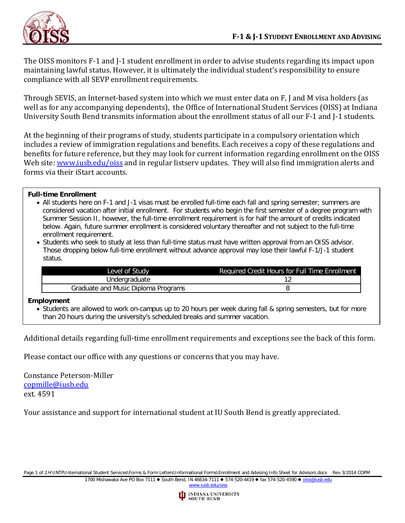

The OISS monitors F-1 and J-1 student enrollment in order to advise students regarding its impact upon maintaining lawful status. However, it is ultimately the individual student's responsibility to ensure compliance with all SEVP enrollment requirements.

Through SEVIS, an Internet-based system into which we must enter data on F, J and M visa holders (as well as for any accompanying dependents), the Office of International Student Services (OISS) at Indiana University South Bend transmits information about the enrollment status of all our F-1 and J-1 students.

At the beginning of their programs of study, students participate in a compulsory orientation which includes a review of immigration regulations and benefits. Each receives a copy of these regulations and benefits for future reference, but they may look for current information regarding enrollment on the OISS Web site: www.jusb.edu/oiss and in regular listserv updates. They will also find immigration alerts and forms via their iStart accounts.

## **Full-time Enrollment**

- All students here on F-1 and J-1 visas must be enrolled full-time each fall and spring semester; summers are considered vacation after initial enrollment. For students who begin the first semester of a degree program with Summer Session II, however, the full-time enrollment requirement is for half the amount of credits indicated below. Again, future summer enrollment is considered voluntary thereafter and not subject to the full-time enrollment requirement.
- Students who seek to study at less than full-time status must have written approval from an OISS advisor. Those dropping below full-time enrollment without advance approval may lose their lawful F-1/J-1 student status.

| Level of Study                      | Required Credit Hours for Full Time Enrollment |
|-------------------------------------|------------------------------------------------|
| Undergraduate                       |                                                |
| Graduate and Music Diploma Programs |                                                |

## **Employment**

• Students are allowed to work on-campus up to 20 hours per week during fall & spring semesters, but for more than 20 hours during the university's scheduled breaks and summer vacation.

Additional details regarding full-time enrollment requirements and exceptions see the back of this form.

Please contact our office with any questions or concerns that you may have.

Constance Peterson-Miller [copmille@iusb.edu](mailto:copmille@iusb.edu) ext. 4591

-

Your assistance and support for international student at IU South Bend is greatly appreciated.

Page 1 of 2H:\INTP\International Student Services\Forms & Form Letters\Informational Forms\Enrollment and Advising Info Sheet for Advisors.docx Rev 3/2014 COPM

1700 Mishawaka Ave PO Box 7111 · South Bend, IN 46634-7111 · 574-520-4419 · fax 574-520-4590 · [oiss@iusb.edu](mailto:oiss@iusb.edu) [www.iusb.edu/oiss](http://www.iusb.edu/~oiss)